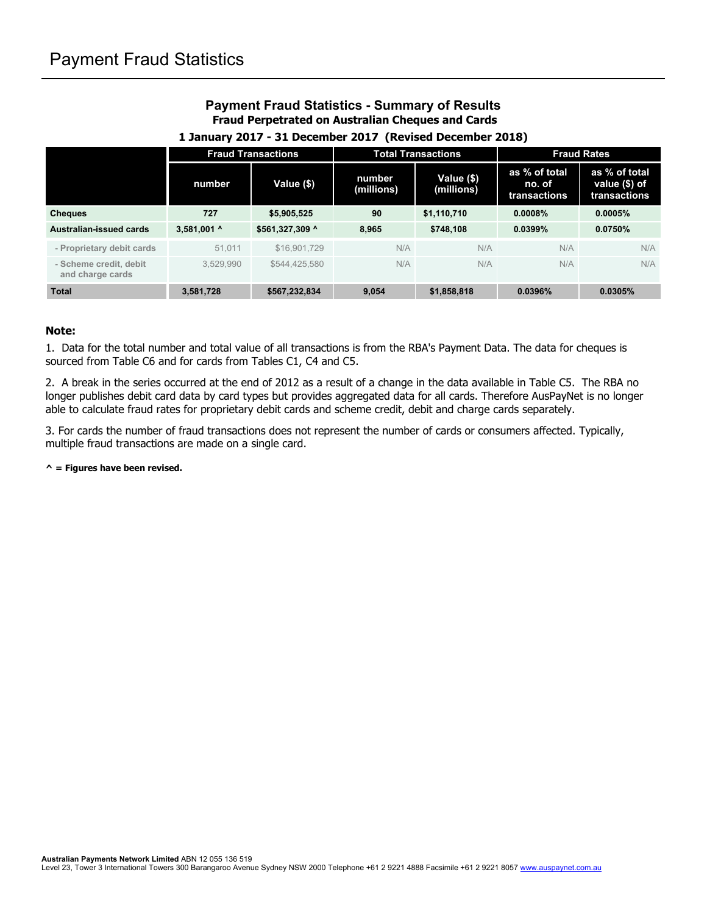## **Payment Fraud Statistics - Summary of Results Fraud Perpetrated on Australian Cheques and Cards**

|                                            | <b>Fraud Transactions</b> |                 | <b>Total Transactions</b> |                          | <b>Fraud Rates</b>                      |                                                |
|--------------------------------------------|---------------------------|-----------------|---------------------------|--------------------------|-----------------------------------------|------------------------------------------------|
|                                            | number                    | Value (\$)      | number<br>(millions)      | Value (\$)<br>(millions) | as % of total<br>no. of<br>transactions | as % of total<br>value (\$) of<br>transactions |
| <b>Cheques</b>                             | 727                       | \$5,905,525     | 90                        | \$1,110,710              | 0.0008%                                 | 0.0005%                                        |
| Australian-issued cards                    | 3,581,001 ^               | \$561,327,309 ^ | 8.965                     | \$748,108                | 0.0399%                                 | 0.0750%                                        |
| - Proprietary debit cards                  | 51.011                    | \$16,901,729    | N/A                       | N/A                      | N/A                                     | N/A                                            |
| - Scheme credit, debit<br>and charge cards | 3.529.990                 | \$544.425.580   | N/A                       | N/A                      | N/A                                     | N/A                                            |
| <b>Total</b>                               | 3.581.728                 | \$567.232.834   | 9.054                     | \$1,858,818              | 0.0396%                                 | 0.0305%                                        |

#### **1 January 2017 - 31 December 2017 (Revised December 2018)**

#### **Note:**

1. Data for the total number and total value of all transactions is from the RBA's Payment Data. The data for cheques is sourced from Table C6 and for cards from Tables C1, C4 and C5.

2. A break in the series occurred at the end of 2012 as a result of a change in the data available in Table C5. The RBA no longer publishes debit card data by card types but provides aggregated data for all cards. Therefore AusPayNet is no longer able to calculate fraud rates for proprietary debit cards and scheme credit, debit and charge cards separately.

3. For cards the number of fraud transactions does not represent the number of cards or consumers affected. Typically, multiple fraud transactions are made on a single card.

**^ = Figures have been revised.**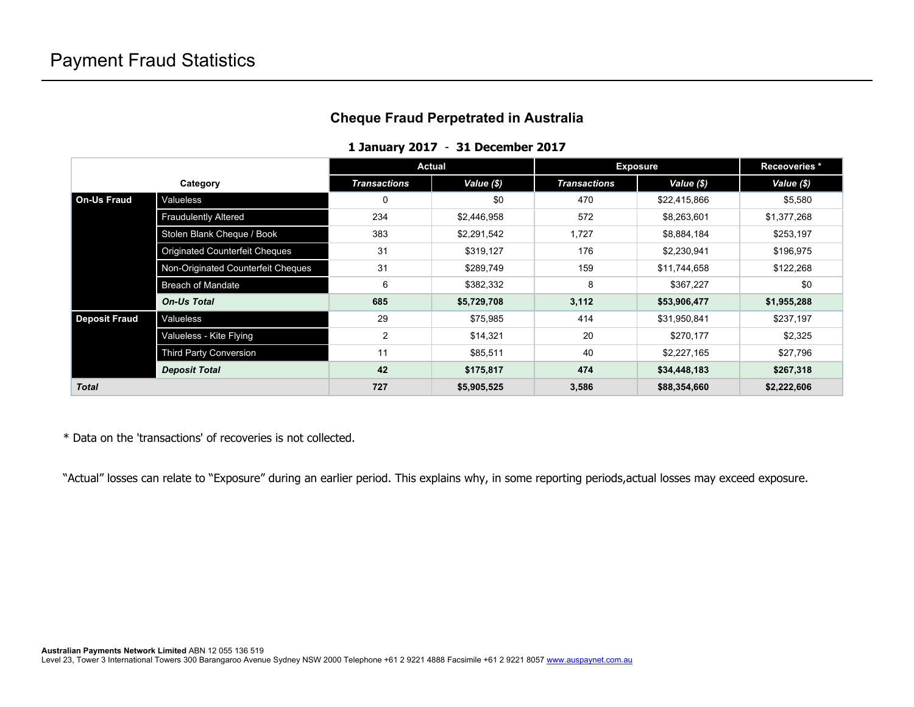## **Cheque Fraud Perpetrated in Australia**

#### **1 January 2017** - **31 December 2017**

|                      |                                       | Actual              |             | <b>Exposure</b>     |              | Receoveries * |
|----------------------|---------------------------------------|---------------------|-------------|---------------------|--------------|---------------|
| Category             |                                       | <b>Transactions</b> | Value (\$)  | <b>Transactions</b> | Value (\$)   | Value (\$)    |
| l On-Us Fraud        | Valueless                             | $\mathbf 0$         | \$0         | 470                 | \$22,415,866 | \$5,580       |
|                      | <b>Fraudulently Altered</b>           | 234                 | \$2,446,958 | 572                 | \$8,263,601  | \$1,377,268   |
|                      | Stolen Blank Cheque / Book            | 383                 | \$2,291,542 | 1,727               | \$8,884,184  | \$253,197     |
|                      | <b>Originated Counterfeit Cheques</b> | 31                  | \$319,127   | 176                 | \$2,230,941  | \$196,975     |
|                      | Non-Originated Counterfeit Cheques    | 31                  | \$289,749   | 159                 | \$11,744,658 | \$122,268     |
|                      | <b>Breach of Mandate</b>              | 6                   | \$382,332   | 8                   | \$367,227    | \$0           |
|                      | <b>On-Us Total</b>                    | 685                 | \$5,729,708 | 3,112               | \$53,906,477 | \$1,955,288   |
| <b>Deposit Fraud</b> | Valueless                             | 29                  | \$75,985    | 414                 | \$31,950,841 | \$237,197     |
|                      | Valueless - Kite Flying               | 2                   | \$14,321    | 20                  | \$270,177    | \$2,325       |
|                      | <b>Third Party Conversion</b>         | 11                  | \$85,511    | 40                  | \$2,227,165  | \$27,796      |
|                      | <b>Deposit Total</b>                  | 42                  | \$175,817   | 474                 | \$34,448,183 | \$267,318     |
| <b>Total</b>         |                                       | 727                 | \$5,905,525 | 3,586               | \$88,354,660 | \$2,222,606   |

\* Data on the 'transactions' of recoveries is not collected.

"Actual" losses can relate to "Exposure" during an earlier period. This explains why, in some reporting periods,actual losses may exceed exposure.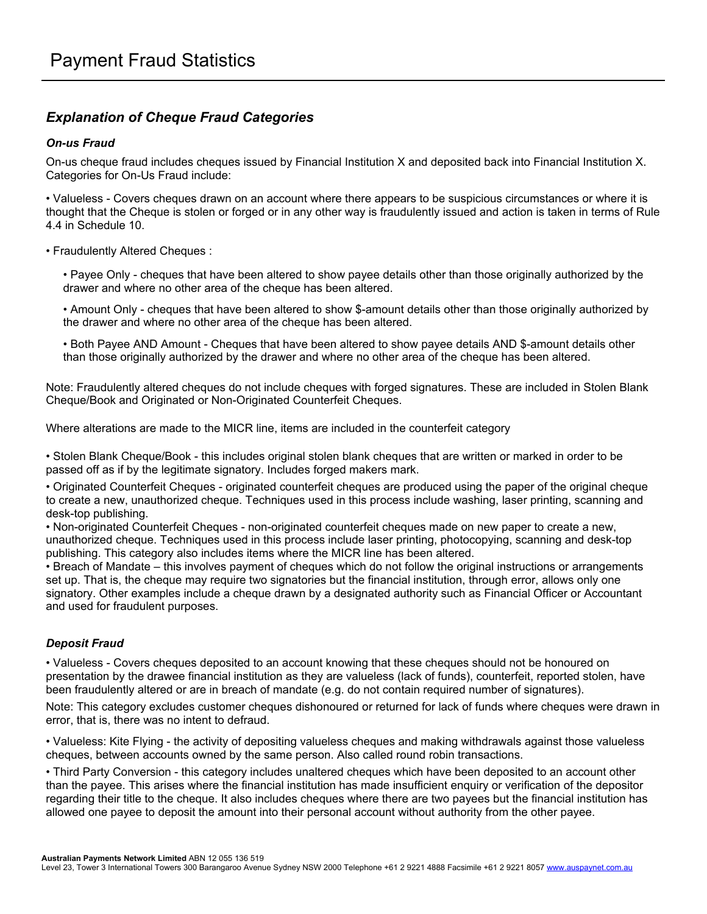## *Explanation of Cheque Fraud Categories*

### *On-us Fraud*

On-us cheque fraud includes cheques issued by Financial Institution X and deposited back into Financial Institution X. Categories for On-Us Fraud include:

• Valueless - Covers cheques drawn on an account where there appears to be suspicious circumstances or where it is thought that the Cheque is stolen or forged or in any other way is fraudulently issued and action is taken in terms of Rule 4.4 in Schedule 10.

#### • Fraudulently Altered Cheques :

• Payee Only - cheques that have been altered to show payee details other than those originally authorized by the drawer and where no other area of the cheque has been altered.

• Amount Only - cheques that have been altered to show \$-amount details other than those originally authorized by the drawer and where no other area of the cheque has been altered.

• Both Payee AND Amount - Cheques that have been altered to show payee details AND \$-amount details other than those originally authorized by the drawer and where no other area of the cheque has been altered.

Note: Fraudulently altered cheques do not include cheques with forged signatures. These are included in Stolen Blank Cheque/Book and Originated or Non-Originated Counterfeit Cheques.

Where alterations are made to the MICR line, items are included in the counterfeit category

• Stolen Blank Cheque/Book - this includes original stolen blank cheques that are written or marked in order to be passed off as if by the legitimate signatory. Includes forged makers mark.

• Originated Counterfeit Cheques - originated counterfeit cheques are produced using the paper of the original cheque to create a new, unauthorized cheque. Techniques used in this process include washing, laser printing, scanning and desk-top publishing.

• Non-originated Counterfeit Cheques - non-originated counterfeit cheques made on new paper to create a new, unauthorized cheque. Techniques used in this process include laser printing, photocopying, scanning and desk-top publishing. This category also includes items where the MICR line has been altered.

• Breach of Mandate – this involves payment of cheques which do not follow the original instructions or arrangements set up. That is, the cheque may require two signatories but the financial institution, through error, allows only one signatory. Other examples include a cheque drawn by a designated authority such as Financial Officer or Accountant and used for fraudulent purposes.

#### *Deposit Fraud*

• Valueless - Covers cheques deposited to an account knowing that these cheques should not be honoured on presentation by the drawee financial institution as they are valueless (lack of funds), counterfeit, reported stolen, have been fraudulently altered or are in breach of mandate (e.g. do not contain required number of signatures).

Note: This category excludes customer cheques dishonoured or returned for lack of funds where cheques were drawn in error, that is, there was no intent to defraud.

• Valueless: Kite Flying - the activity of depositing valueless cheques and making withdrawals against those valueless cheques, between accounts owned by the same person. Also called round robin transactions.

• Third Party Conversion - this category includes unaltered cheques which have been deposited to an account other than the payee. This arises where the financial institution has made insufficient enquiry or verification of the depositor regarding their title to the cheque. It also includes cheques where there are two payees but the financial institution has allowed one payee to deposit the amount into their personal account without authority from the other payee.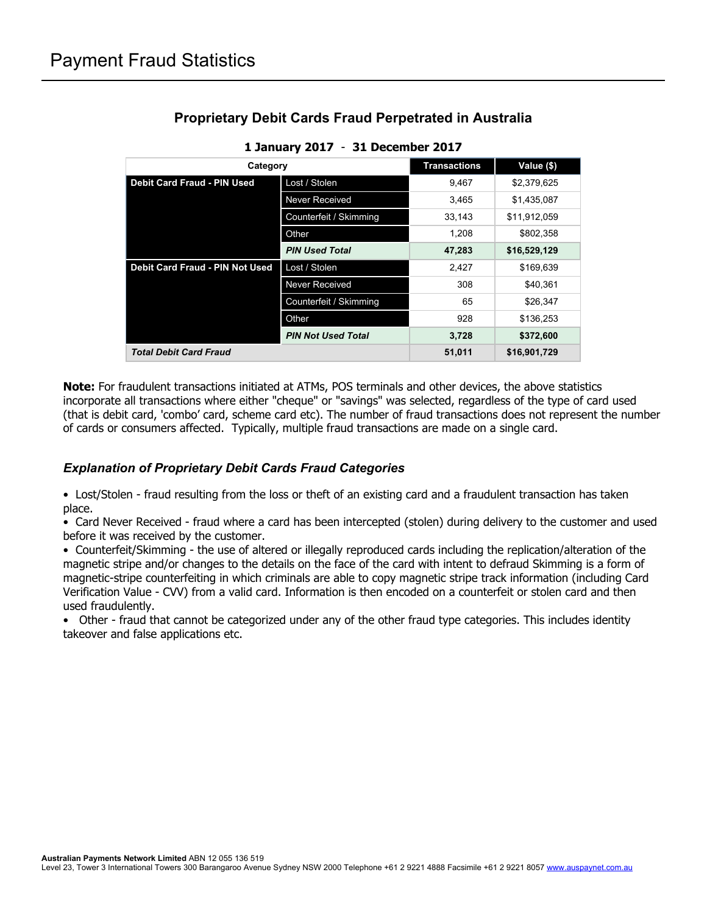| Category                                                                                                     | <b>Transactions</b>       | Value (\$)   |              |
|--------------------------------------------------------------------------------------------------------------|---------------------------|--------------|--------------|
| <b>Debit Card Fraud - PIN Used</b>                                                                           | Lost / Stolen             | 9.467        | \$2,379,625  |
|                                                                                                              | Never Received            | 3.465        | \$1,435,087  |
|                                                                                                              | Counterfeit / Skimming    |              | \$11.912.059 |
|                                                                                                              | Other                     | 1,208        | \$802,358    |
|                                                                                                              | <b>PIN Used Total</b>     | 47,283       | \$16,529,129 |
| <b>Debit Card Fraud - PIN Not Used</b><br>Lost / Stolen<br>Never Received<br>Counterfeit / Skimming<br>Other |                           | 2.427        | \$169,639    |
|                                                                                                              |                           | 308          | \$40.361     |
|                                                                                                              |                           | 65           | \$26,347     |
|                                                                                                              |                           | 928          | \$136,253    |
|                                                                                                              | <b>PIN Not Used Total</b> | 3,728        | \$372,600    |
| <b>Total Debit Card Fraud</b>                                                                                | 51,011                    | \$16,901,729 |              |

# **Proprietary Debit Cards Fraud Perpetrated in Australia**

|  |  | 1 January 2017 - 31 December 2017 |
|--|--|-----------------------------------|
|--|--|-----------------------------------|

**Note:** For fraudulent transactions initiated at ATMs, POS terminals and other devices, the above statistics incorporate all transactions where either "cheque" or "savings" was selected, regardless of the type of card used (that is debit card, 'combo' card, scheme card etc). The number of fraud transactions does not represent the number of cards or consumers affected. Typically, multiple fraud transactions are made on a single card.

### *Explanation of Proprietary Debit Cards Fraud Categories*

• Lost/Stolen - fraud resulting from the loss or theft of an existing card and a fraudulent transaction has taken place.

• Card Never Received - fraud where a card has been intercepted (stolen) during delivery to the customer and used before it was received by the customer.

• Counterfeit/Skimming - the use of altered or illegally reproduced cards including the replication/alteration of the magnetic stripe and/or changes to the details on the face of the card with intent to defraud Skimming is a form of magnetic-stripe counterfeiting in which criminals are able to copy magnetic stripe track information (including Card Verification Value - CVV) from a valid card. Information is then encoded on a counterfeit or stolen card and then used fraudulently.

• Other - fraud that cannot be categorized under any of the other fraud type categories. This includes identity takeover and false applications etc.